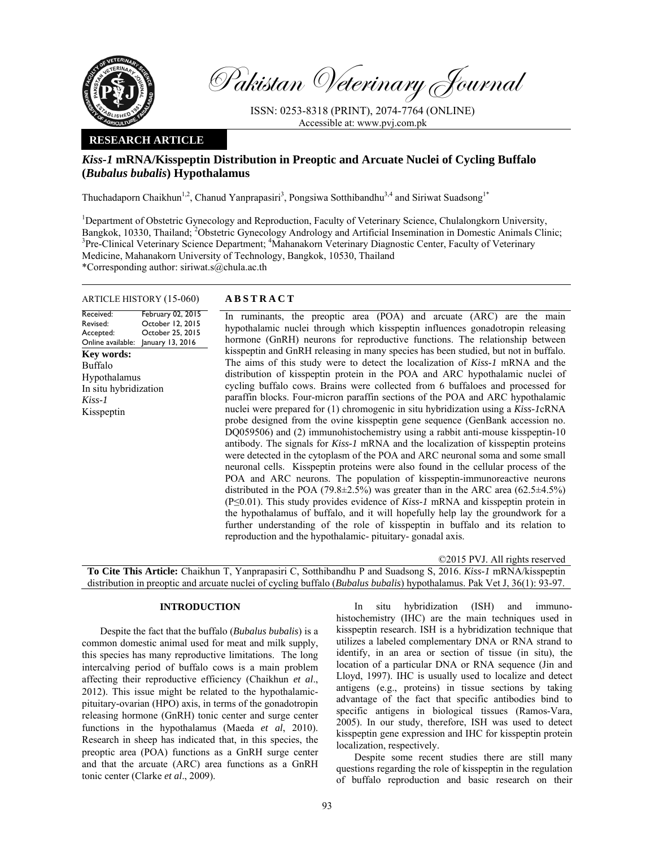

Pakistan Veterinary Journal

ISSN: 0253-8318 (PRINT), 2074-7764 (ONLINE) Accessible at: www.pvj.com.pk

# **RESEARCH ARTICLE**

# *Kiss-1* **mRNA/Kisspeptin Distribution in Preoptic and Arcuate Nuclei of Cycling Buffalo (***Bubalus bubalis***) Hypothalamus**

Thuchadaporn Chaikhun<sup>1,2</sup>, Chanud Yanprapasiri<sup>3</sup>, Pongsiwa Sotthibandhu<sup>3,4</sup> and Siriwat Suadsong<sup>1\*</sup>

<sup>1</sup>Department of Obstetric Gynecology and Reproduction, Faculty of Veterinary Science, Chulalongkorn University, Bangkok, 10330, Thailand; <sup>2</sup>Obstetric Gynecology Andrology and Artificial Insemination in Domestic Animals Clinic;<br><sup>3</sup>Dre Clinical Veterinary Seignes Department: <sup>4</sup>Mahanakarp Veterinary Diagnestic Center Feeulty of Veter Pre-Clinical Veterinary Science Department; <sup>4</sup>Mahanakorn Veterinary Diagnostic Center, Faculty of Veterinary Medicine, Mahanakorn University of Technology, Bangkok, 10530, Thailand

\*Corresponding author: siriwat.s@chula.ac.th

#### ARTICLE HISTORY (15-060) **ABSTRACT**

#### Received: Revised: Accepted: Online available: January 13, 2016 February 02, 2015 October 12, 2015 October 25, 2015 **Key words:**  Buffalo Hypothalamus In situ hybridization *Kiss-1*  Kisspeptin

 In ruminants, the preoptic area (POA) and arcuate (ARC) are the main hypothalamic nuclei through which kisspeptin influences gonadotropin releasing hormone (GnRH) neurons for reproductive functions. The relationship between kisspeptin and GnRH releasing in many species has been studied, but not in buffalo. The aims of this study were to detect the localization of *Kiss-1* mRNA and the distribution of kisspeptin protein in the POA and ARC hypothalamic nuclei of cycling buffalo cows. Brains were collected from 6 buffaloes and processed for paraffin blocks. Four-micron paraffin sections of the POA and ARC hypothalamic nuclei were prepared for (1) chromogenic in situ hybridization using a *Kiss-1*cRNA probe designed from the ovine kisspeptin gene sequence (GenBank accession no. DQ059506) and (2) immunohistochemistry using a rabbit anti-mouse kisspeptin-10 antibody. The signals for *Kiss-1* mRNA and the localization of kisspeptin proteins were detected in the cytoplasm of the POA and ARC neuronal soma and some small neuronal cells. Kisspeptin proteins were also found in the cellular process of the POA and ARC neurons. The population of kisspeptin-immunoreactive neurons distributed in the POA (79.8 $\pm$ 2.5%) was greater than in the ARC area (62.5 $\pm$ 4.5%) (P≤0.01). This study provides evidence of *Kiss-1* mRNA and kisspeptin protein in the hypothalamus of buffalo, and it will hopefully help lay the groundwork for a further understanding of the role of kisspeptin in buffalo and its relation to reproduction and the hypothalamic- pituitary- gonadal axis.

©2015 PVJ. All rights reserved

**To Cite This Article:** Chaikhun T, Yanprapasiri C, Sotthibandhu P and Suadsong S, 2016. *Kiss-1* mRNA/kisspeptin distribution in preoptic and arcuate nuclei of cycling buffalo (*Bubalus bubalis*) hypothalamus. Pak Vet J, 36(1): 93-97.

# **INTRODUCTION**

Despite the fact that the buffalo (*Bubalus bubalis*) is a common domestic animal used for meat and milk supply, this species has many reproductive limitations. The long intercalving period of buffalo cows is a main problem affecting their reproductive efficiency (Chaikhun *et al*., 2012). This issue might be related to the hypothalamicpituitary-ovarian (HPO) axis, in terms of the gonadotropin releasing hormone (GnRH) tonic center and surge center functions in the hypothalamus (Maeda *et al*, 2010). Research in sheep has indicated that, in this species, the preoptic area (POA) functions as a GnRH surge center and that the arcuate (ARC) area functions as a GnRH tonic center (Clarke *et al*., 2009).

In situ hybridization (ISH) and immunohistochemistry (IHC) are the main techniques used in kisspeptin research. ISH is a hybridization technique that utilizes a labeled complementary DNA or RNA strand to identify, in an area or section of tissue (in situ), the location of a particular DNA or RNA sequence (Jin and Lloyd, 1997). IHC is usually used to localize and detect antigens (e.g., proteins) in tissue sections by taking advantage of the fact that specific antibodies bind to specific antigens in biological tissues (Ramos-Vara, 2005). In our study, therefore, ISH was used to detect kisspeptin gene expression and IHC for kisspeptin protein localization, respectively.

Despite some recent studies there are still many questions regarding the role of kisspeptin in the regulation of buffalo reproduction and basic research on their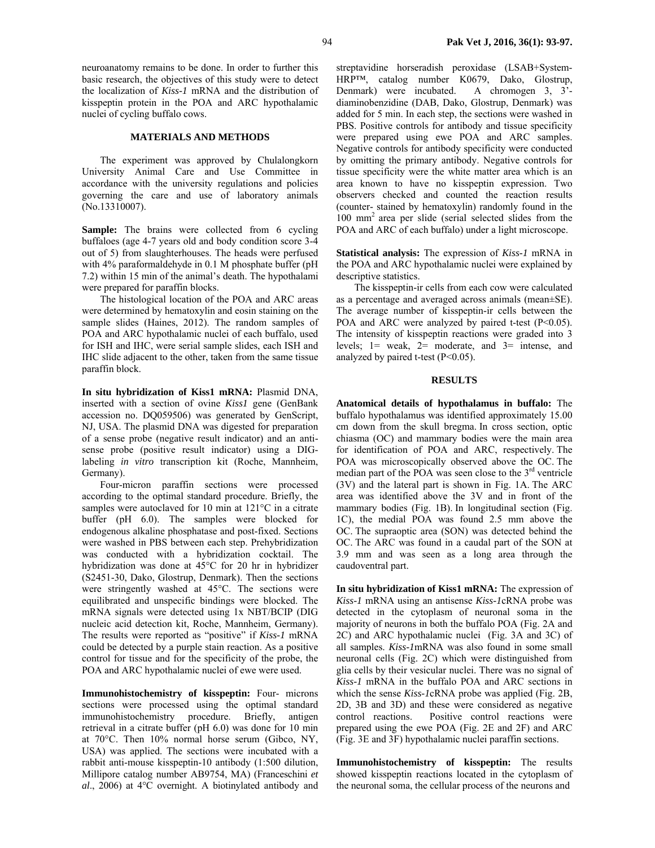neuroanatomy remains to be done. In order to further this basic research, the objectives of this study were to detect the localization of *Kiss-1* mRNA and the distribution of kisspeptin protein in the POA and ARC hypothalamic nuclei of cycling buffalo cows.

## **MATERIALS AND METHODS**

The experiment was approved by Chulalongkorn University Animal Care and Use Committee in accordance with the university regulations and policies governing the care and use of laboratory animals (No.13310007).

**Sample:** The brains were collected from 6 cycling buffaloes (age 4-7 years old and body condition score 3-4 out of 5) from slaughterhouses. The heads were perfused with 4% paraformaldehyde in 0.1 M phosphate buffer (pH 7.2) within 15 min of the animal's death. The hypothalami were prepared for paraffin blocks.

The histological location of the POA and ARC areas were determined by hematoxylin and eosin staining on the sample slides (Haines, 2012). The random samples of POA and ARC hypothalamic nuclei of each buffalo, used for ISH and IHC, were serial sample slides, each ISH and IHC slide adjacent to the other, taken from the same tissue paraffin block.

**In situ hybridization of Kiss1 mRNA:** Plasmid DNA, inserted with a section of ovine *Kiss1* gene (GenBank accession no. DQ059506) was generated by GenScript, NJ, USA. The plasmid DNA was digested for preparation of a sense probe (negative result indicator) and an antisense probe (positive result indicator) using a DIGlabeling *in vitro* transcription kit (Roche, Mannheim, Germany).

Four-micron paraffin sections were processed according to the optimal standard procedure. Briefly, the samples were autoclaved for 10 min at 121°C in a citrate buffer (pH 6.0). The samples were blocked for endogenous alkaline phosphatase and post-fixed. Sections were washed in PBS between each step. Prehybridization was conducted with a hybridization cocktail. The hybridization was done at 45°C for 20 hr in hybridizer (S2451-30, Dako, Glostrup, Denmark). Then the sections were stringently washed at 45°C. The sections were equilibrated and unspecific bindings were blocked. The mRNA signals were detected using 1x NBT/BCIP (DIG nucleic acid detection kit, Roche, Mannheim, Germany). The results were reported as "positive" if *Kiss-1* mRNA could be detected by a purple stain reaction. As a positive control for tissue and for the specificity of the probe, the POA and ARC hypothalamic nuclei of ewe were used.

**Immunohistochemistry of kisspeptin:** Four- microns sections were processed using the optimal standard immunohistochemistry procedure. Briefly, antigen retrieval in a citrate buffer (pH 6.0) was done for 10 min at 70°C. Then 10% normal horse serum (Gibco, NY, USA) was applied. The sections were incubated with a rabbit anti-mouse kisspeptin-10 antibody (1:500 dilution, Millipore catalog number AB9754, MA) (Franceschini *et al*., 2006) at 4°C overnight. A biotinylated antibody and streptavidine horseradish peroxidase (LSAB+System-HRP™, catalog number K0679, Dako, Glostrup, Denmark) were incubated. A chromogen 3, 3' diaminobenzidine (DAB, Dako, Glostrup, Denmark) was added for 5 min. In each step, the sections were washed in PBS. Positive controls for antibody and tissue specificity were prepared using ewe POA and ARC samples. Negative controls for antibody specificity were conducted by omitting the primary antibody. Negative controls for tissue specificity were the white matter area which is an area known to have no kisspeptin expression. Two observers checked and counted the reaction results (counter- stained by hematoxylin) randomly found in the 100 mm2 area per slide (serial selected slides from the POA and ARC of each buffalo) under a light microscope.

**Statistical analysis:** The expression of *Kiss-1* mRNA in the POA and ARC hypothalamic nuclei were explained by descriptive statistics.

The kisspeptin-ir cells from each cow were calculated as a percentage and averaged across animals (mean±SE). The average number of kisspeptin-ir cells between the POA and ARC were analyzed by paired t-test (P<0.05). The intensity of kisspeptin reactions were graded into 3 levels; 1= weak, 2= moderate, and 3= intense, and analyzed by paired t-test (P<0.05).

# **RESULTS**

**Anatomical details of hypothalamus in buffalo:** The buffalo hypothalamus was identified approximately 15.00 cm down from the skull bregma. In cross section, optic chiasma (OC) and mammary bodies were the main area for identification of POA and ARC, respectively. The POA was microscopically observed above the OC. The median part of the POA was seen close to the  $3<sup>rd</sup>$  ventricle (3V) and the lateral part is shown in Fig. 1A. The ARC area was identified above the 3V and in front of the mammary bodies (Fig. 1B). In longitudinal section (Fig. 1C), the medial POA was found 2.5 mm above the OC. The supraoptic area (SON) was detected behind the OC. The ARC was found in a caudal part of the SON at 3.9 mm and was seen as a long area through the caudoventral part.

**In situ hybridization of Kiss1 mRNA:** The expression of *Kiss-1* mRNA using an antisense *Kiss-1*cRNA probe was detected in the cytoplasm of neuronal soma in the majority of neurons in both the buffalo POA (Fig. 2A and 2C) and ARC hypothalamic nuclei (Fig. 3A and 3C) of all samples. *Kiss-1*mRNA was also found in some small neuronal cells (Fig. 2C) which were distinguished from glia cells by their vesicular nuclei. There was no signal of *Kiss-1* mRNA in the buffalo POA and ARC sections in which the sense *Kiss-1*cRNA probe was applied (Fig. 2B, 2D, 3B and 3D) and these were considered as negative control reactions. Positive control reactions were prepared using the ewe POA (Fig. 2E and 2F) and ARC (Fig. 3E and 3F) hypothalamic nuclei paraffin sections.

**Immunohistochemistry of kisspeptin:** The results showed kisspeptin reactions located in the cytoplasm of the neuronal soma, the cellular process of the neurons and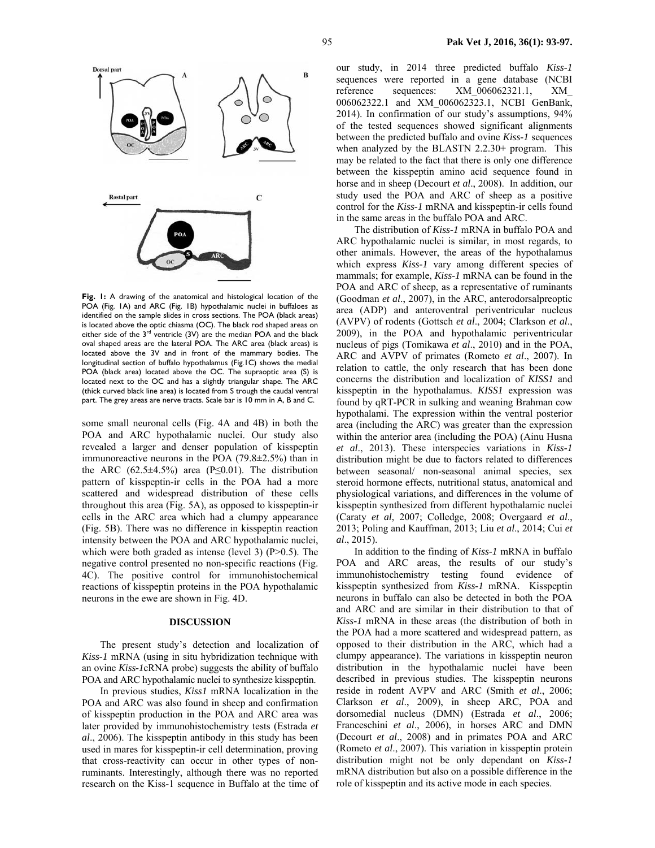**Fig. 1:** A drawing of the anatomical and histological location of the POA (Fig. 1A) and ARC (Fig. 1B) hypothalamic nuclei in buffaloes as identified on the sample slides in cross sections. The POA (black areas) is located above the optic chiasma (OC). The black rod shaped areas on either side of the  $3^{rd}$  ventricle  $(3V)$  are the median POA and the black oval shaped areas are the lateral POA. The ARC area (black areas) is located above the 3V and in front of the mammary bodies. The longitudinal section of buffalo hypothalamus (Fig.1C) shows the medial POA (black area) located above the OC. The supraoptic area (S) is located next to the OC and has a slightly triangular shape. The ARC (thick curved black line area) is located from S trough the caudal ventral part. The grey areas are nerve tracts. Scale bar is 10 mm in A, B and C.

some small neuronal cells (Fig. 4A and 4B) in both the POA and ARC hypothalamic nuclei. Our study also revealed a larger and denser population of kisspeptin immunoreactive neurons in the POA (79.8±2.5%) than in the ARC (62.5 $\pm$ 4.5%) area (P≤0.01). The distribution pattern of kisspeptin-ir cells in the POA had a more scattered and widespread distribution of these cells throughout this area (Fig. 5A), as opposed to kisspeptin-ir cells in the ARC area which had a clumpy appearance (Fig. 5B). There was no difference in kisspeptin reaction intensity between the POA and ARC hypothalamic nuclei, which were both graded as intense (level 3)  $(P>0.5)$ . The negative control presented no non-specific reactions (Fig. 4C). The positive control for immunohistochemical reactions of kisspeptin proteins in the POA hypothalamic neurons in the ewe are shown in Fig. 4D.

#### **DISCUSSION**

The present study's detection and localization of *Kiss-1* mRNA (using in situ hybridization technique with an ovine *Kiss-1*cRNA probe) suggests the ability of buffalo POA and ARC hypothalamic nuclei to synthesize kisspeptin.

In previous studies, *Kiss1* mRNA localization in the POA and ARC was also found in sheep and confirmation of kisspeptin production in the POA and ARC area was later provided by immunohistochemistry tests (Estrada *et al*., 2006). The kisspeptin antibody in this study has been used in mares for kisspeptin-ir cell determination, proving that cross-reactivity can occur in other types of nonruminants. Interestingly, although there was no reported research on the Kiss-1 sequence in Buffalo at the time of our study, in 2014 three predicted buffalo *Kiss-1* sequences were reported in a gene database (NCBI reference sequences: XM\_006062321.1, XM 006062322.1 and XM\_006062323.1, NCBI GenBank, 2014). In confirmation of our study's assumptions, 94% of the tested sequences showed significant alignments between the predicted buffalo and ovine *Kiss-1* sequences when analyzed by the BLASTN 2.2.30+ program. This may be related to the fact that there is only one difference between the kisspeptin amino acid sequence found in horse and in sheep (Decourt *et al*., 2008). In addition, our study used the POA and ARC of sheep as a positive control for the *Kiss-1* mRNA and kisspeptin-ir cells found in the same areas in the buffalo POA and ARC.

The distribution of *Kiss-1* mRNA in buffalo POA and ARC hypothalamic nuclei is similar, in most regards, to other animals. However, the areas of the hypothalamus which express *Kiss-1* vary among different species of mammals; for example, *Kiss-1* mRNA can be found in the POA and ARC of sheep, as a representative of ruminants (Goodman *et al*., 2007), in the ARC, anterodorsalpreoptic area (ADP) and anteroventral periventricular nucleus (AVPV) of rodents (Gottsch *et al*., 2004; Clarkson *et al*., 2009), in the POA and hypothalamic periventricular nucleus of pigs (Tomikawa *et al*., 2010) and in the POA, ARC and AVPV of primates (Rometo *et al*., 2007). In relation to cattle, the only research that has been done concerns the distribution and localization of *KISS1* and kisspeptin in the hypothalamus. *KISS1* expression was found by qRT-PCR in sulking and weaning Brahman cow hypothalami. The expression within the ventral posterior area (including the ARC) was greater than the expression within the anterior area (including the POA) (Ainu Husna *et al*., 2013). These interspecies variations in *Kiss-1* distribution might be due to factors related to differences between seasonal/ non-seasonal animal species, sex steroid hormone effects, nutritional status, anatomical and physiological variations, and differences in the volume of kisspeptin synthesized from different hypothalamic nuclei (Caraty *et al*, 2007; Colledge, 2008; Overgaard *et al*., 2013; Poling and Kauffman, 2013; Liu *et al*., 2014; Cui *et al*., 2015).

In addition to the finding of *Kiss-1* mRNA in buffalo POA and ARC areas, the results of our study's immunohistochemistry testing found evidence of kisspeptin synthesized from *Kiss-1* mRNA. Kisspeptin neurons in buffalo can also be detected in both the POA and ARC and are similar in their distribution to that of *Kiss-1* mRNA in these areas (the distribution of both in the POA had a more scattered and widespread pattern, as opposed to their distribution in the ARC, which had a clumpy appearance). The variations in kisspeptin neuron distribution in the hypothalamic nuclei have been described in previous studies. The kisspeptin neurons reside in rodent AVPV and ARC (Smith *et al*., 2006; Clarkson *et al*., 2009), in sheep ARC, POA and dorsomedial nucleus (DMN) (Estrada *et al*., 2006; Franceschini *et al*., 2006), in horses ARC and DMN (Decourt *et al*., 2008) and in primates POA and ARC (Rometo *et al*., 2007). This variation in kisspeptin protein distribution might not be only dependant on *Kiss-1* mRNA distribution but also on a possible difference in the role of kisspeptin and its active mode in each species.

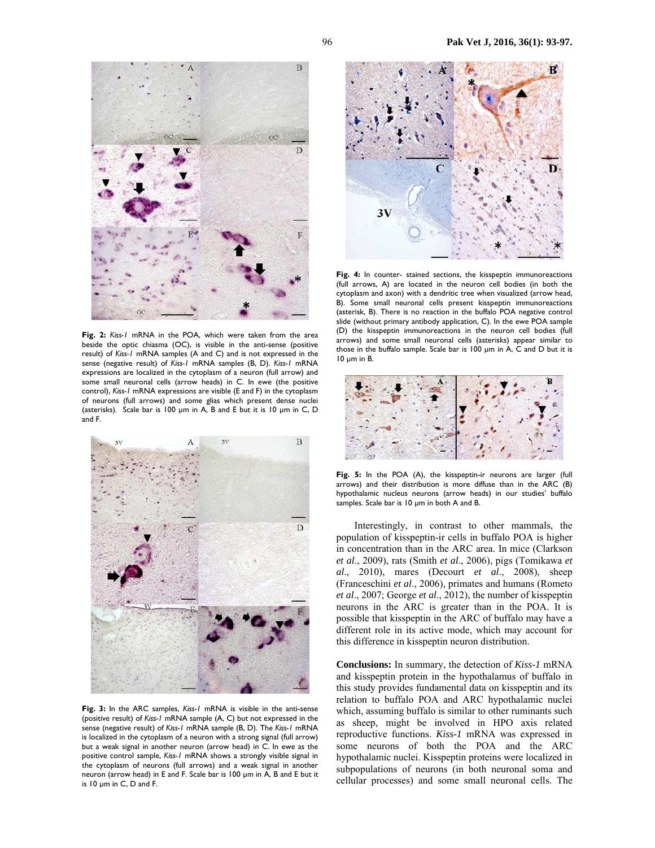

**Fig. 2:** *Kiss-1* mRNA in the POA, which were taken from the area beside the optic chiasma (OC), is visible in the anti-sense (positive result) of *Kiss-1* mRNA samples (A and C) and is not expressed in the sense (negative result) of *Kiss-1* mRNA samples (B, D). *Kiss-1* mRNA expressions are localized in the cytoplasm of a neuron (full arrow) and some small neuronal cells (arrow heads) in C. In ewe (the positive control), *Kiss-1* mRNA expressions are visible (E and F) in the cytoplasm of neurons (full arrows) and some glias which present dense nuclei (asterisks). Scale bar is 100 µm in A, B and E but it is 10 µm in C, D and F.



**Fig. 3:** In the ARC samples, *Kiss-1* mRNA is visible in the anti-sense (positive result) of *Kiss-1* mRNA sample (A, C) but not expressed in the sense (negative result) of *Kiss-1* mRNA sample (B, D). The *Kiss-1* mRNA is localized in the cytoplasm of a neuron with a strong signal (full arrow) but a weak signal in another neuron (arrow head) in C. In ewe as the positive control sample, *Kiss-1* mRNA shows a strongly visible signal in the cytoplasm of neurons (full arrows) and a weak signal in another neuron (arrow head) in E and F. Scale bar is 100 µm in A, B and E but it is 10 µm in C, D and F.



**Fig. 4:** In counter- stained sections, the kisspeptin immunoreactions (full arrows, A) are located in the neuron cell bodies (in both the cytoplasm and axon) with a dendritic tree when visualized (arrow head, B). Some small neuronal cells present kisspeptin immunoreactions (asterisk, B). There is no reaction in the buffalo POA negative control slide (without primary antibody application, C). In the ewe POA sample (D) the kisspeptin immunoreactions in the neuron cell bodies (full arrows) and some small neuronal cells (asterisks) appear similar to those in the buffalo sample. Scale bar is 100 µm in A, C and D but it is 10 µm in B.



**Fig. 5:** In the POA (A), the kisspeptin-ir neurons are larger (full arrows) and their distribution is more diffuse than in the ARC (B) hypothalamic nucleus neurons (arrow heads) in our studies' buffalo samples. Scale bar is 10 um in both A and B.

Interestingly, in contrast to other mammals, the population of kisspeptin-ir cells in buffalo POA is higher in concentration than in the ARC area. In mice (Clarkson *et al*., 2009), rats (Smith *et al*., 2006), pigs (Tomikawa *et al*., 2010), mares (Decourt *et al*., 2008), sheep (Franceschini *et al*., 2006), primates and humans (Rometo *et al*., 2007; George *et al*., 2012), the number of kisspeptin neurons in the ARC is greater than in the POA. It is possible that kisspeptin in the ARC of buffalo may have a different role in its active mode, which may account for this difference in kisspeptin neuron distribution.

**Conclusions:** In summary, the detection of *Kiss-1* mRNA and kisspeptin protein in the hypothalamus of buffalo in this study provides fundamental data on kisspeptin and its relation to buffalo POA and ARC hypothalamic nuclei which, assuming buffalo is similar to other ruminants such as sheep, might be involved in HPO axis related reproductive functions. *Kiss-1* mRNA was expressed in some neurons of both the POA and the ARC hypothalamic nuclei. Kisspeptin proteins were localized in subpopulations of neurons (in both neuronal soma and cellular processes) and some small neuronal cells. The